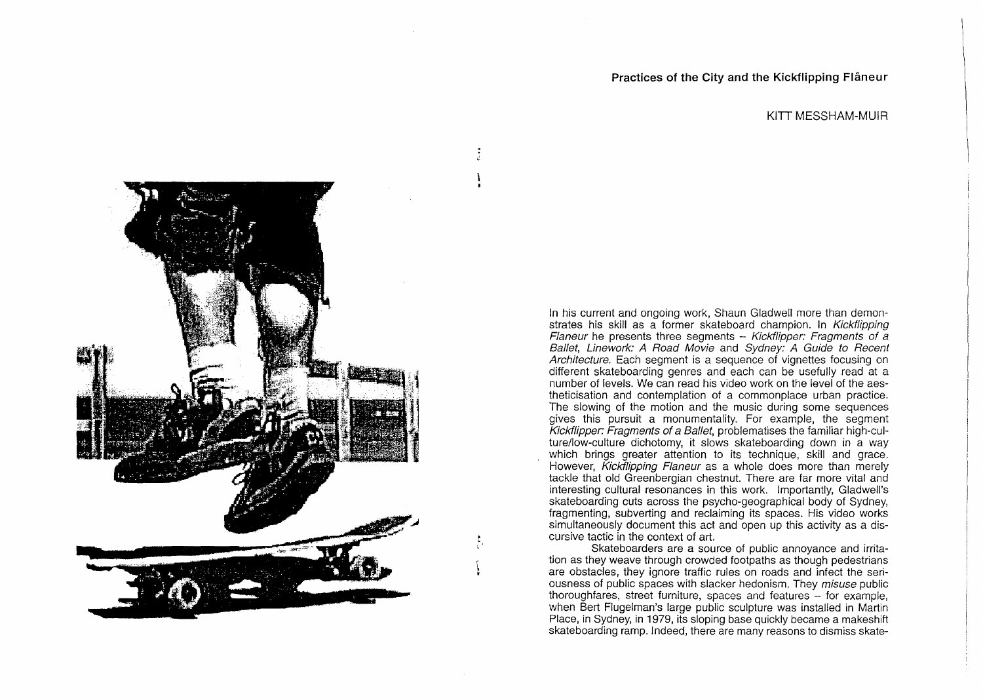**Practices of the City and the Kickflipping Flâneur** 

## KITT MESSHAM-MUIR

In his current and ongoing work, Shaun Gladwell more than demonstrates his skill as a former skateboard champion. In Kickflipping Flaneur he presents three segments  $-$  Kickflipper: Fragments of a Ballet, Linework: A Road Movie and Sydney: A Guide to Recent Architecture. Each segment is a sequence of vignettes focusing on different skateboarding genres and each can be usefully read at a number of levels. We can read his video work on the level of the aestheticisation and contemplation of a commonplace urban practice. The slowing of the motion and the music during some sequences gives this pursuit a monumentality. For example, the segment Kickflipper: Fragments of a Ballet, problematises the familiar high-culture/low-culture dichotomy, it slows skateboarding down in a way which brings greater attention to its technique, skill and grace. However, Kickflipping Flaneur as a whole does more than merely tackle that old Greenbergian chestnut. There are far more vital and interesting cultural resonances in this work. Importantly, Gladwell's skateboarding cuts across the psycho-geographical body of Sydney, fragmenting, subverting and reclaiming its spaces. His video works simultaneously document this act and open up this activity as a discursive tactic in the context of art.

Skateboarders are a source of public annoyance and irritation as they weave through crowded footpaths as though pedestrians are obstacles, they ignore traffic rules on roads and infect the seriousness of public spaces with slacker hedonism. They misuse public thoroughfares, street furniture, spaces and features - for example, when Bert Flugelman's large public sculpture was installed in Martin Place, in Sydney, in 1979, its sloping base quickly became a makeshift skateboarding ramp. Indeed, there are many reasons to dismiss skate-

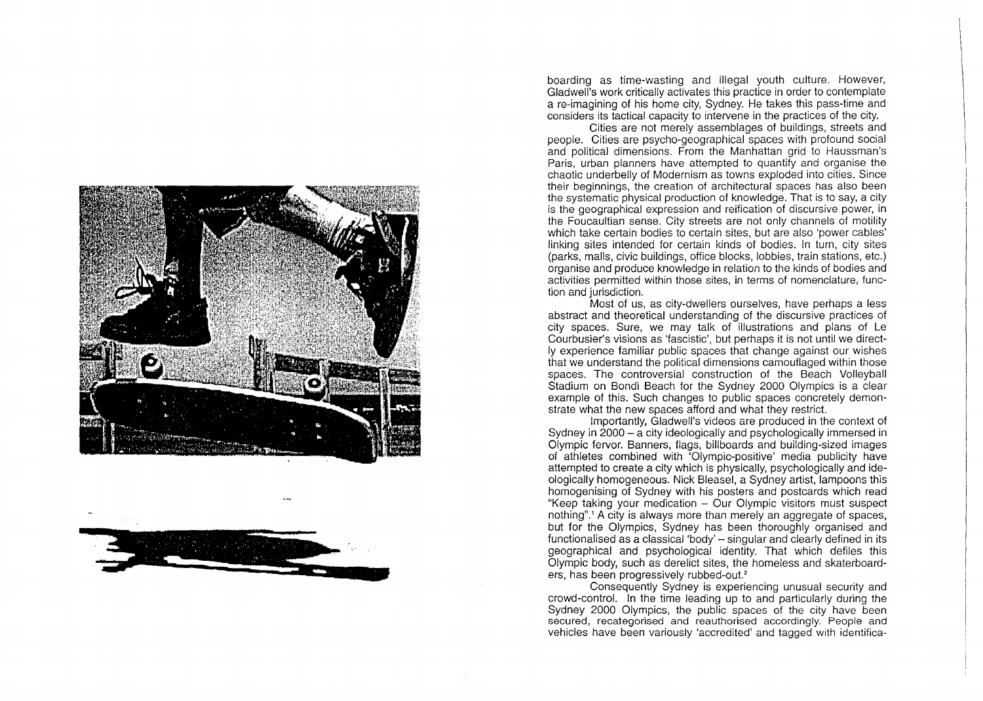



boarding as time-wasting and illegal youth culture. However, Gladwell's work critically activates this practice in order to contemplate a re-imagining of his home city, Sydney. He takes this pass-time and considers its tactical capacity to intervene in the practices of the city.

Cities are not merely assemblages of buildings, streets and people. Cities are psycho-geographical spaces with profound social and political dimensions. From the Manhattan grid to Haussman's Paris, urban planners have attempted to quantify and organise the chaotic underbelly of Modernism as towns exploded into cities. Since their beginnings, the creation of architectural spaces has also been the systematic physical production of knowledge. That is to say, a city is the geographical expression and reification of discursive power, in the Foucaultian sense. City streets are not only channels of motility which take certain bodies to certain sites, but are also 'power cables' linking sites intended for certain kinds of bodies. In turn, city sites (parks, malls, civic buildings, office blocks, lobbies, train stations, etc.) organise and produce knowledge in relation to the kinds of bodies and activities permitted within those sites, in terms of nomenclature, function and jurisdiction.

Most of us, as city-dwellers ourselves, have perhaps a less abstract and theoretical understanding of the discursive practices of city spaces. Sure, we may talk of illustrations and plans of Le Courbusier's visions as 'fascistic', but perhaps it is not until we directly experience familiar public spaces that change against our wishes that we understand the political dimensions camouflaged within those spaces. The controversial construction of the Beach Volleyball Stadium on Bondi Beach for the Sydney 2000 Olympics is a clear example of this. Such changes to public spaces concretely demonstrate what the new spaces afford and what they restrict.

Importantly, Gladwell's videos are produced in the context of Sydney in 2000- a city ideologically and psychologically immersed in Olympic fervor. Banners, flags, billboards and building-sized images of athletes combined with 'Olympic-positive' media publicity have attempted to create a city which is physically, psychologically and ideologically homogeneous. Nick Bleasel, a Sydney artist, lampoons this homogenising of Sydney with his posters and postcards which read "Keep taking your medication - Our Olympic visitors must suspect nothing".' A city is always more than merely an aggregate of spaces, but for the Olympics, Sydney has been thoroughly organised and functionalised as a classical 'body'- singular and clearly defined in its geographical and psychological identity. That which defiles this Olympic body, such as derelict sites, the homeless and skaterboarders, has been progressively rubbed-out.<sup>2</sup>

Consequently Sydney is experiencing unusual security and crowd-control. In the time leading up to and particularly during the Sydney 2000 Olympics, the public spaces of the city have been secured, recategorised and reauthorised accordingly. People and vehicles have been variously 'accredited' and tagged with identifica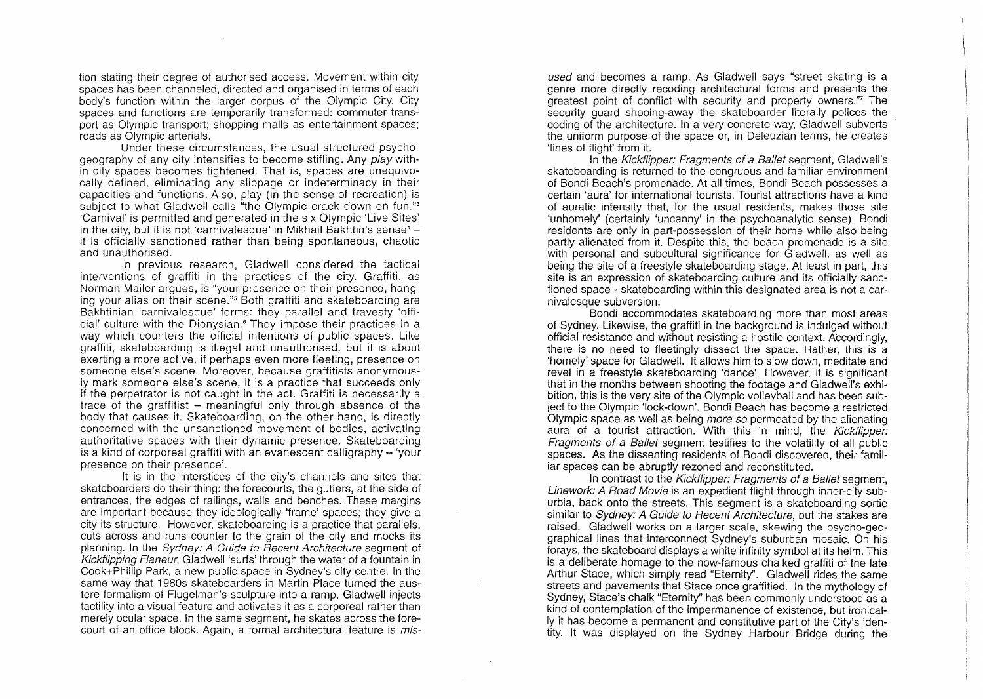tion stating their degree of authorised access. Movement within city spaces has been channeled, directed and organised in terms of each body's function within the larger corpus of the Olympic City. City spaces and functions are temporarily transformed: commuter transport as Olympic transport; shopping malls as entertainment spaces; roads as Olympic arterials.

Under these circumstances, the usual structured psychogeography of any city intensifies to become stifling. Any play within city spaces becomes tightened. That is, spaces are unequivocally defined, eliminating any slippage or indeterminacy in their capacities and functions. Also, play (in the sense of recreation) is subject to what Gladwell calls "the Olympic crack down on fun."<sup>3</sup> 'Carnival' is permitted and generated in the six Olympic 'Live Sites' in the city, but it is not 'carnivalesque' in Mikhail Bakhtin's sense<sup>4</sup> it is officially sanctioned rather than being spontaneous, chaotic and unauthorised.

In previous research, Gladwell considered the tactical interventions of graffiti in the practices of the city. Graffiti, as Norman Mailer argues, is "your presence on their presence, hanging your alias on their scene."5 Both graffiti and skateboarding are Bakhtinian 'carnivalesque' forms: they parallel and travesty 'official' culture with the Dionysian.<sup>6</sup> They impose their practices in a way which counters the official intentions of public spaces. Like graffiti, skateboarding is illegal and unauthorised, but it is about exerting a more active, if perhaps even more fleeting, presence on someone else's scene. Moreover, because graffitists anonymously mark someone else's scene, it is a practice that succeeds only if the perpetrator is not caught in the act. Graffiti is necessarily a trace of the graffitist  $-$  meaningful only through absence of the body that causes it. Skateboarding, on the other hand, is directly concerned with the unsanctioned movement of bodies, activating authoritative spaces with their dynamic presence. Skateboarding is a kind of corporeal graffiti with an evanescent calligraphy- 'your presence on their presence'.

It is in the interstices of the city's channels and sites that skateboarders do their thing: the forecourts, the gutters, at the side of entrances, the edges of railings, walls and benches. These margins are important because they ideologically 'frame' spaces; they give a city its structure. However, skateboarding is a practice that parallels, cuts across and runs counter to the grain of the city and mocks its planning. In the Sydney: A Guide to Recent Architecture segment of Kickflipping Flaneur, Gladwell 'surfs' through the water of a fountain in Cook+Phillip Park, a new public space in Sydney's city centre. In the same way that 1980s skateboarders in Martin Place turned the austere formalism of Flugelman's sculpture into a ramp, Gladwell injects tactility into a visual feature and activates it as a corporeal rather than merely ocular space. In the same segment, he skates across the forecourt of an office block. Again, a formal architectural feature is misused and becomes a ramp. As Gladwell says "street skating is a genre more directly recoding architectural forms and presents the greatest point of conflict with security and property owners."7 The security quard shooing-away the skateboarder literally polices the coding of the architecture. In a very concrete way, Gladwell subverts the uniform purpose of the space or, in Deleuzian terms, he creates 'lines of flight' from it.

In the Kickflipper: Fragments of a Ballet segment, Gladwell's skateboarding is returned to the congruous and familiar environment of Bondi Beach's promenade. At all times, Bondi Beach possesses a certain 'aura' for international tourists. Tourist attractions have a kind of auratic intensity that, for the usual residents, makes those site 'unhomely' (certainly 'uncanny' in the psychoanalytic sense). Bondi residents are only in part-possession of their home while also being partly alienated from it. Despite this, the beach promenade is a site with personal and subcultural significance for Gladwell, as well as being the site of a freestyle skateboarding stage. At least in part, this site is an expression of skateboarding culture and its officially sanctioned space - skateboarding within this designated area is not a carnivalesque subversion.

Bondi accommodates skateboarding more than most areas of Sydney. Likewise, the graffiti in the background is indulged without official resistance and without resisting a hostile context. Accordingly, there is no need to fleetingly dissect the space. Rather, this is a 'homely' space for Gladwell. It allows him to slow down, meditate and revel in a freestyle skateboarding 'dance'. However, it is significant that in the months between shooting the footage and Gladwell's exhibition, this is the very site of the Olympic volleyball and has been subject to the Olympic 'lock-down'. Bondi Beach has become a restricted Olympic space as well as being more so permeated by the alienating aura of a tourist attraction. With this in mind, the Kickflipper: Fragments of a Ballet segment testifies to the volatility of all public spaces. As the dissenting residents of Bondi discovered, their familiar spaces can be abruptly rezoned and reconstituted.

In contrast to the Kickflipper: Fragments of a Ballet segment, Linework: A Road Movie is an expedient flight through inner-city suburbia, back onto the streets. This segment is a skateboarding sortie similar to Sydney: A Guide to Recent Architecture, but the stakes are raised. Gladwell works on a larger scale, skewing the psycho-geographical lines that interconnect Sydney's suburban mosaic. On his forays, the skateboard displays a white infinity symbol at its helm. This is a deliberate homage to the now-famous chalked graffiti of the late Arthur Stace, which simply read "Eternity''. Gladwell rides the same streets and pavements that Stace once graffitied. In the mythology of Sydney, Stace's chalk "Eternity" has been commonly understood as a kind of contemplation of the impermanence of existence, but ironically it has become a permanent and constitutive part of the City's identity. It was displayed on the Sydney Harbour Bridge during the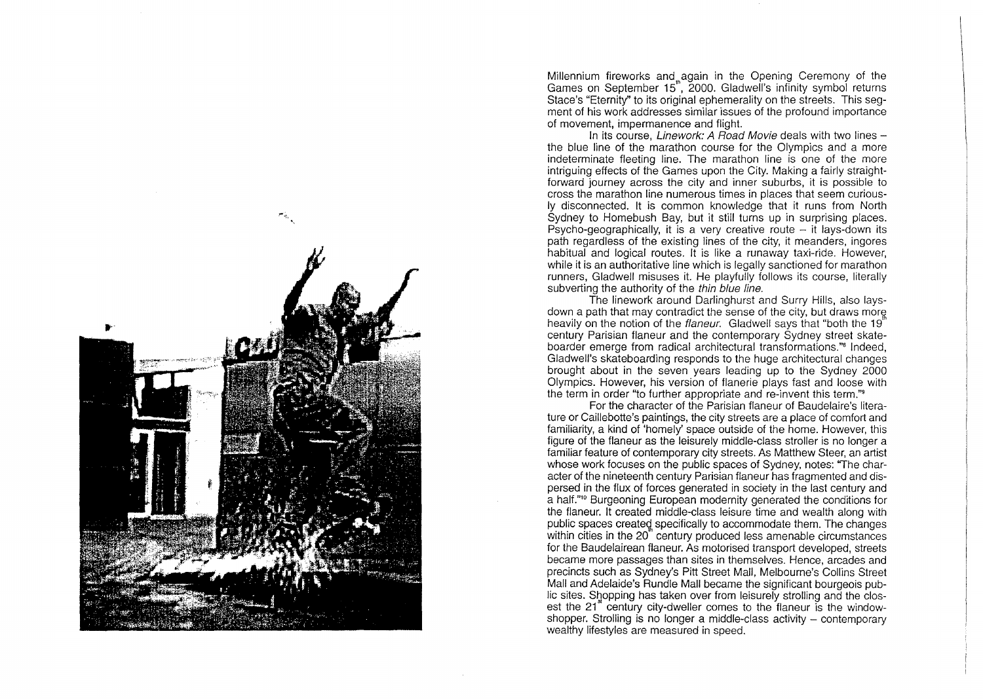

Millennium fireworks and again in the Opening Ceremony of the Games on September 15", 2000. Gladwell's infinity symbol returns Stace's "Eternity" to its original ephemerality on the streets. This segment of his work addresses similar issues of the profound importance of movement, impermanence and flight.

In its course, *Linework: A Road Movie* deals with two lines  $$ the blue line of the marathon course for the Olympics and a more indeterminate fleeting line. The marathon line is one of the more intriguing effects of the Games upon the City. Making a fairly straightforward journey across the city and inner suburbs, it is possible to cross the marathon line numerous times in places that seem curiously disconnected. It is common knowledge that it runs from North Sydney to Homebush Bay, but it still turns up in surprising places. Psycho-geographically, it is a very creative route  $-$  it lays-down its path regardless of the existing lines of the city, it meanders, ingores habitual and logical routes. It is like a runaway taxi-ride. However, while it is an authoritative line which is legally sanctioned for marathon runners, Gladwell misuses it. He playfully follows its course, literally subverting the authority of the thin blue line.

The linework around Darlinghurst and Surry Hills, also laysdown a path that may contradict the sense of the city, but draws more heavily on the notion of the flaneur. Gladwell says that "both the 19" century Parisian flaneur and the contemporary Sydney street skateboarder emerge from radical architectural transformations.''" Indeed, Gladwell's skateboarding responds to the huge architectural changes brought about in the seven years leading up to the Sydney 2000 Olympics. However, his version of flanerie plays fast and loose with the term in order "to further appropriate and re-invent this term.''<sup>9</sup>

For the character of the Parisian flaneur of Baudelaire's literature or Caillebotte's paintings, the city streets are a place of comfort and familiarity, a kind of 'homely' space outside of the home. However, this figure of the flaneur as the leisurely middle-class stroller is no longer a familiar feature of contemporary city streets. As Matthew Steer, an artist whose work focuses on the public spaces of Sydney, notes: "The character of the nineteenth century Parisian flaneur has fragmented and dispersed in the flux of forces generated in society in the last century and a half."<sup>10</sup> Burgeoning European modernity generated the conditions for the flaneur. It created middle-class leisure time and wealth along with public spaces created specifically to accommodate them. The changes within cities in the 20" century produced less amenable circumstances for the Baudelairean flaneur. As motorised transport developed, streets became more passages than sites in themselves. Hence, arcades and precincts such as Sydney's Pitt Street Mall, Melbourne's Collins Street Mall and Adelaide's Rundle Mall became the significant bourgeois public sites. Shopping has taken over from leisurely strolling and the closest the 21<sup>\*</sup> century city-dweller comes to the flaneur is the windowshopper. Strolling is no longer a middle-class activity – contemporary wealthy lifestyles are measured in speed.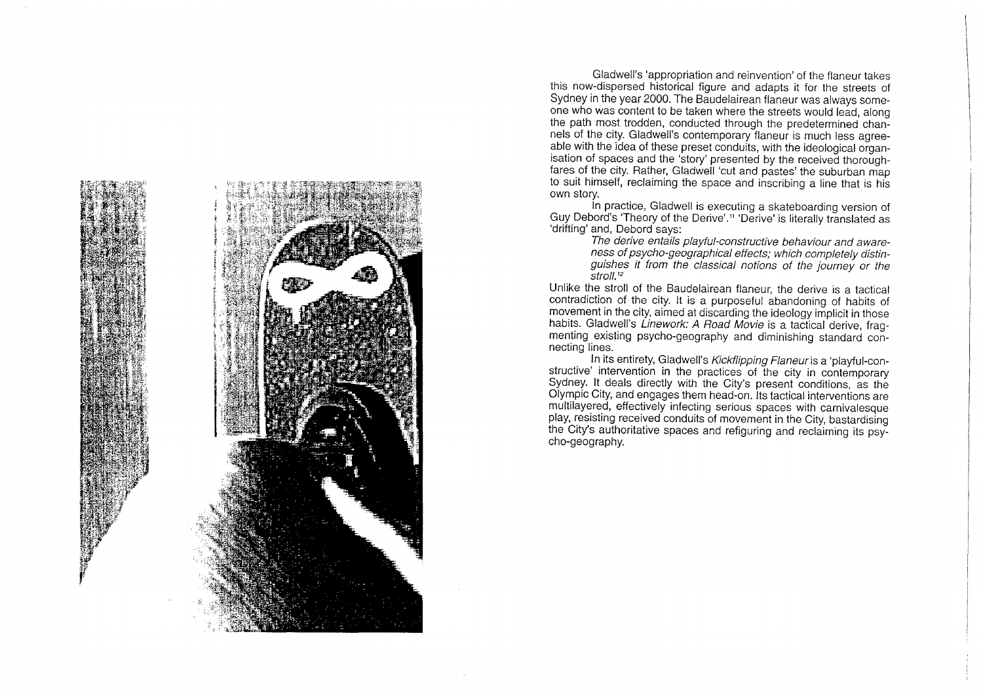

Gladwell's 'appropriation and reinvention' of the flaneur takes this now-dispersed historical figure and adapts it for the streets of Sydney in the year 2000. The Baudelairean flaneur was always someone who was content to be taken where the streets would lead, along the path most trodden, conducted through the predetermined channels of the city. Gladwell's contemporary flaneur is much less agreeable with the idea of these preset conduits, with the ideological organisation of spaces and the 'story' presented by the received thoroughfares of the city. Rather, Gladwell 'cut and pastes' the suburban map to suit himself, reclaiming the space and inscribing a line that is his own story.

In practice, Gladwell is executing a skateboarding version of Guy Debord's 'Theory of the Derive'." 'Derive' is literally translated as 'drifting' and, Debord says:

The derive entails playful-constructive behaviour and awareness of psycho-geographical effects; which completely distinguishes it from the classical notions of the journey or the stro//.'*<sup>2</sup>*

Unlike the stroll of the Baudelairean flaneur, the derive is a tactical contradiction of the city. It is a purposeful abandoning of habits of movement in the city, aimed at discarding the ideology implicit in those habits. Gladwell's Linework: A Road Movie is a tactical derive, fragmenting existing psycho-geography and diminishing standard connecting lines.

In its entirety, Gladwell's Kickflipping Flaneur is a 'playful-constructive' intervention in the practices of the city in contemporary Sydney. It deals directly with the City's present conditions, as the Olympic City, and engages them head-on. Its tactical interventions are multilayered, effectively infecting serious spaces with carnivalesque play, resisting received conduits of movement in the City, bastardising the City's authoritative spaces and refiguring and reclaiming its psycho-geography.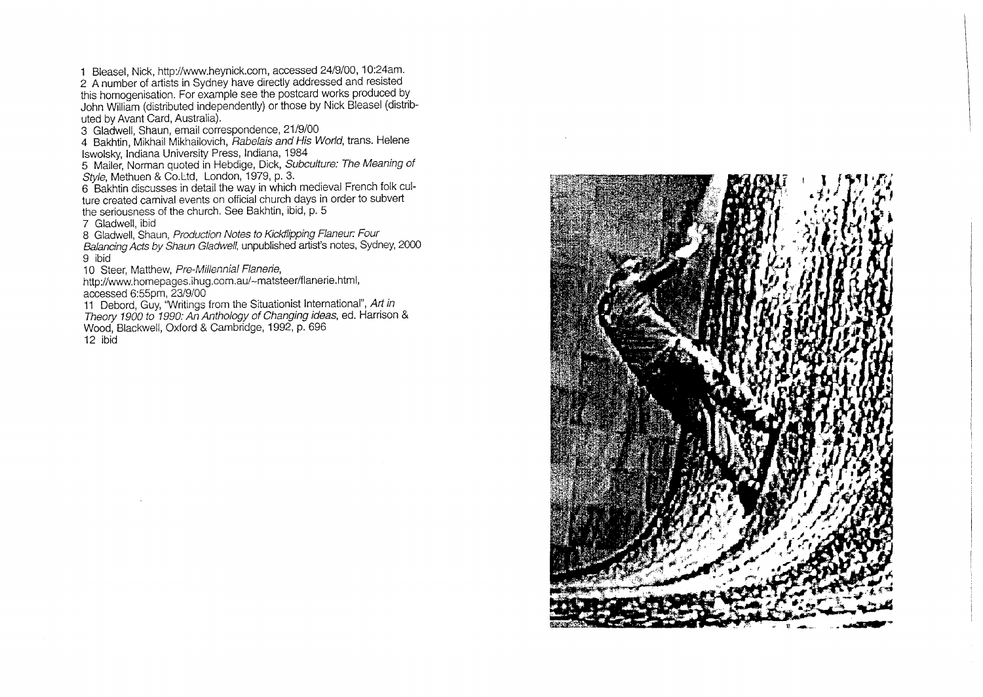1 Bleasel, Nick, http://www.heynick.com, accessed 24/9/00, 10:24am. 2 A number of artists in Sydney have directly addressed and resisted this homogenisation. For example see the postcard works produced by John William (distributed independently) or those by Nick Bleasel (distributed by Avant Card, Australia).

3 Gladwell, Shaun, email correspondence, 21/9/00

4 Bakhtin, Mikhail Mikhailovich, *Rabelais and His World*, trans. Helene lswolsky, Indiana University Press, Indiana, 1984

5 Mailer, Norman quoted in Hebdige, Dick, Subculture: The Meaning of Style, Methuen & Co. Ltd, London, 1979, p. 3.

6 Bakhtin discusses in detail the way in which medieval French folk culture created carnival events on official church days in order to subvert the seriousness of the church. See Bakhtin, ibid, p. 5

7 Gladwell, ibid

8 Gladwell, Shaun, Production Notes to Kickflipping Flaneur: Four

Balancing Acts by Shaun Gladwell, unpublished artist's notes, Sydney, 2000 9 ibid

10 Steer, Matthew, Pre-Millennial Flanerie,

http://www.homepages.ihug.com.au/-matsteer/flanerie.htrnl, accessed 6:55pm, 23/9/00

11 Debord, Guy, "Writings from the Situationist International", Art in Theory 1900 to 1990: An Anthology of Changing ideas, ed. Harrison & Wood, Blackwell, Oxford & Cambridge, 1992, p. 696 12 ibid